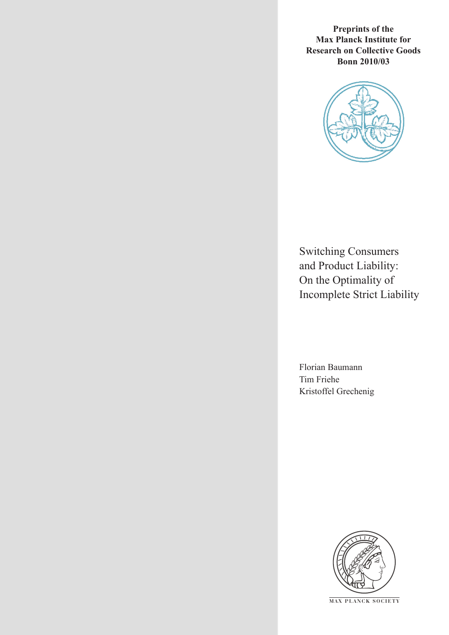**Preprints of the Max Planck Institute for Research on Collective Goods Bonn 2010/03**



Switching Consumers and Product Liability: On the Optimality of Incomplete Strict Liability

Florian Baumann Tim Friehe Kristoffel Grechenig



**M AX P L A N C K S O C I E T Y**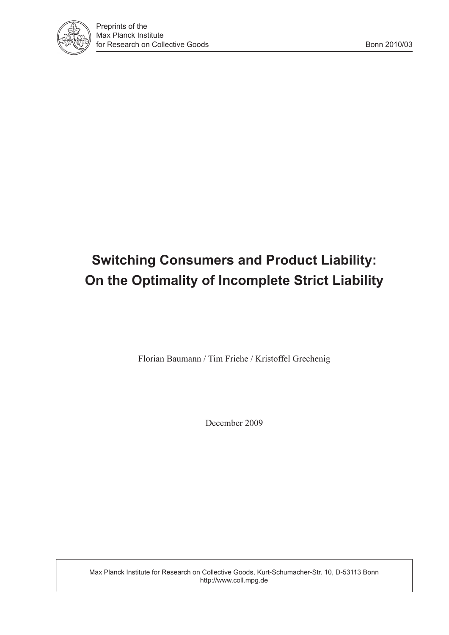

# **Switching Consumers and Product Liability: On the Optimality of Incomplete Strict Liability**

Florian Baumann / Tim Friehe / Kristoffel Grechenig

December 2009

Max Planck Institute for Research on Collective Goods, Kurt-Schumacher-Str. 10, D-53113 Bonn http://www.coll.mpg.de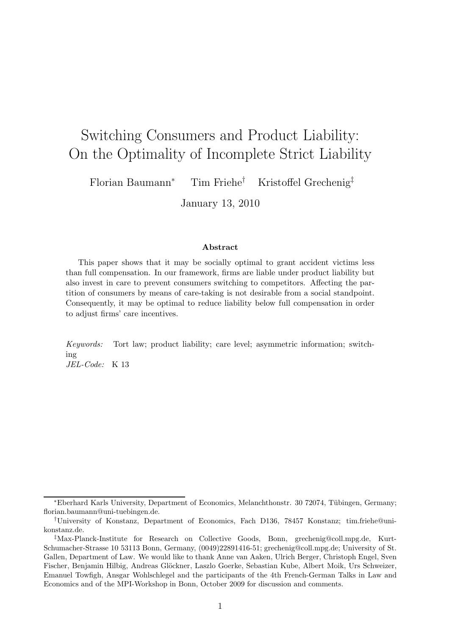## Switching Consumers and Product Liability: On the Optimality of Incomplete Strict Liability

Florian Baumann<sup>∗</sup> Tim Friehe† Kristoffel Grechenig‡

January 13, 2010

#### Abstract

This paper shows that it may be socially optimal to grant accident victims less than full compensation. In our framework, firms are liable under product liability but also invest in care to prevent consumers switching to competitors. Affecting the partition of consumers by means of care-taking is not desirable from a social standpoint. Consequently, it may be optimal to reduce liability below full compensation in order to adjust firms' care incentives.

Keywords: Tort law; product liability; care level; asymmetric information; switching JEL-Code: K 13

<sup>\*</sup>Eberhard Karls University, Department of Economics, Melanchthonstr. 30 72074, Tübingen, Germany; florian.baumann@uni-tuebingen.de.

<sup>†</sup>University of Konstanz, Department of Economics, Fach D136, 78457 Konstanz; tim.friehe@unikonstanz.de.

<sup>‡</sup>Max-Planck-Institute for Research on Collective Goods, Bonn, grechenig@coll.mpg.de, Kurt-Schumacher-Strasse 10 53113 Bonn, Germany, (0049)22891416-51; grechenig@coll.mpg.de; University of St. Gallen, Department of Law. We would like to thank Anne van Aaken, Ulrich Berger, Christoph Engel, Sven Fischer, Benjamin Hilbig, Andreas Glöckner, Laszlo Goerke, Sebastian Kube, Albert Moik, Urs Schweizer, Emanuel Towfigh, Ansgar Wohlschlegel and the participants of the 4th French-German Talks in Law and Economics and of the MPI-Workshop in Bonn, October 2009 for discussion and comments.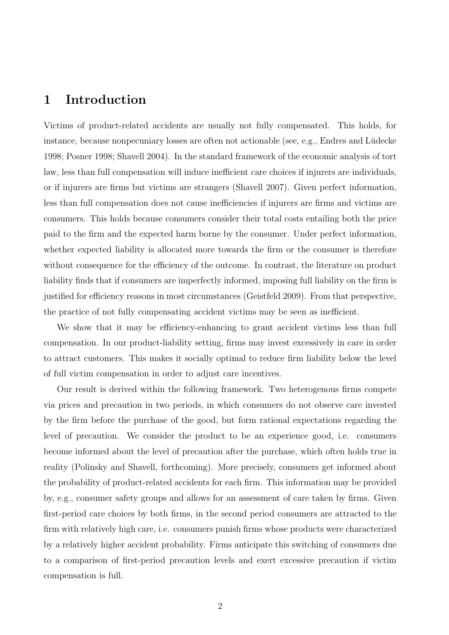### 1 Introduction

Victims of product-related accidents are usually not fully compensated. This holds, for instance, because nonpecuniary losses are often not actionable (see, e.g., Endres and Lüdecke 1998; Posner 1998; Shavell 2004). In the standard framework of the economic analysis of tort law, less than full compensation will induce inefficient care choices if injurers are individuals, or if injurers are firms but victims are strangers (Shavell 2007). Given perfect information, less than full compensation does not cause inefficiencies if injurers are firms and victims are consumers. This holds because consumers consider their total costs entailing both the price paid to the firm and the expected harm borne by the consumer. Under perfect information, whether expected liability is allocated more towards the firm or the consumer is therefore without consequence for the efficiency of the outcome. In contrast, the literature on product liability finds that if consumers are imperfectly informed, imposing full liability on the firm is justified for efficiency reasons in most circumstances (Geistfeld 2009). From that perspective, the practice of not fully compensating accident victims may be seen as inefficient.

We show that it may be efficiency-enhancing to grant accident victims less than full compensation. In our product-liability setting, firms may invest excessively in care in order to attract customers. This makes it socially optimal to reduce firm liability below the level of full victim compensation in order to adjust care incentives.

Our result is derived within the following framework. Two heterogenous firms compete via prices and precaution in two periods, in which consumers do not observe care invested by the firm before the purchase of the good, but form rational expectations regarding the level of precaution. We consider the product to be an experience good, i.e. consumers become informed about the level of precaution after the purchase, which often holds true in reality (Polinsky and Shavell, forthcoming). More precisely, consumers get informed about the probability of product-related accidents for each firm. This information may be provided by, e.g., consumer safety groups and allows for an assessment of care taken by firms. Given first-period care choices by both firms, in the second period consumers are attracted to the firm with relatively high care, i.e. consumers punish firms whose products were characterized by a relatively higher accident probability. Firms anticipate this switching of consumers due to a comparison of first-period precaution levels and exert excessive precaution if victim compensation is full.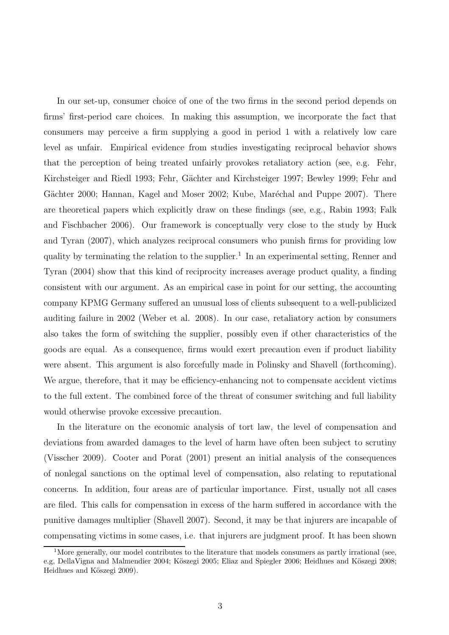In our set-up, consumer choice of one of the two firms in the second period depends on firms' first-period care choices. In making this assumption, we incorporate the fact that consumers may perceive a firm supplying a good in period 1 with a relatively low care level as unfair. Empirical evidence from studies investigating reciprocal behavior shows that the perception of being treated unfairly provokes retaliatory action (see, e.g. Fehr, Kirchsteiger and Riedl 1993; Fehr, Gächter and Kirchsteiger 1997; Bewley 1999; Fehr and Gächter 2000; Hannan, Kagel and Moser 2002; Kube, Maréchal and Puppe 2007). There are theoretical papers which explicitly draw on these findings (see, e.g., Rabin 1993; Falk and Fischbacher 2006). Our framework is conceptually very close to the study by Huck and Tyran (2007), which analyzes reciprocal consumers who punish firms for providing low quality by terminating the relation to the supplier.<sup>1</sup> In an experimental setting, Renner and Tyran (2004) show that this kind of reciprocity increases average product quality, a finding consistent with our argument. As an empirical case in point for our setting, the accounting company KPMG Germany suffered an unusual loss of clients subsequent to a well-publicized auditing failure in 2002 (Weber et al. 2008). In our case, retaliatory action by consumers also takes the form of switching the supplier, possibly even if other characteristics of the goods are equal. As a consequence, firms would exert precaution even if product liability were absent. This argument is also forcefully made in Polinsky and Shavell (forthcoming). We argue, therefore, that it may be efficiency-enhancing not to compensate accident victims to the full extent. The combined force of the threat of consumer switching and full liability would otherwise provoke excessive precaution.

In the literature on the economic analysis of tort law, the level of compensation and deviations from awarded damages to the level of harm have often been subject to scrutiny (Visscher 2009). Cooter and Porat (2001) present an initial analysis of the consequences of nonlegal sanctions on the optimal level of compensation, also relating to reputational concerns. In addition, four areas are of particular importance. First, usually not all cases are filed. This calls for compensation in excess of the harm suffered in accordance with the punitive damages multiplier (Shavell 2007). Second, it may be that injurers are incapable of compensating victims in some cases, i.e. that injurers are judgment proof. It has been shown

<sup>&</sup>lt;sup>1</sup>More generally, our model contributes to the literature that models consumers as partly irrational (see, e.g, DellaVigna and Malmendier 2004; Köszegi 2005; Eliaz and Spiegler 2006; Heidhues and Köszegi 2008; Heidhues and Köszegi 2009).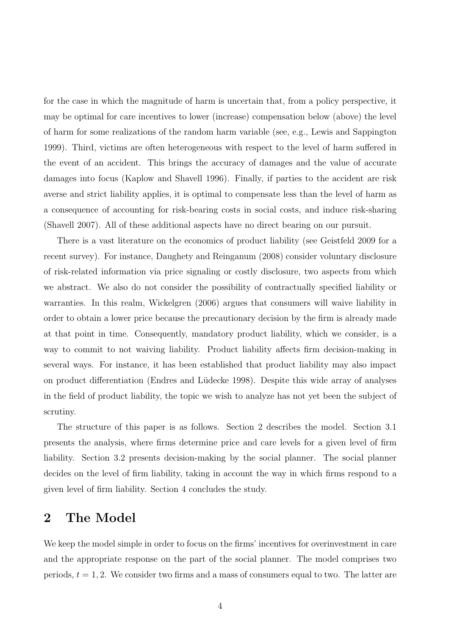for the case in which the magnitude of harm is uncertain that, from a policy perspective, it may be optimal for care incentives to lower (increase) compensation below (above) the level of harm for some realizations of the random harm variable (see, e.g., Lewis and Sappington 1999). Third, victims are often heterogeneous with respect to the level of harm suffered in the event of an accident. This brings the accuracy of damages and the value of accurate damages into focus (Kaplow and Shavell 1996). Finally, if parties to the accident are risk averse and strict liability applies, it is optimal to compensate less than the level of harm as a consequence of accounting for risk-bearing costs in social costs, and induce risk-sharing (Shavell 2007). All of these additional aspects have no direct bearing on our pursuit.

There is a vast literature on the economics of product liability (see Geistfeld 2009 for a recent survey). For instance, Daughety and Reinganum (2008) consider voluntary disclosure of risk-related information via price signaling or costly disclosure, two aspects from which we abstract. We also do not consider the possibility of contractually specified liability or warranties. In this realm, Wickelgren (2006) argues that consumers will waive liability in order to obtain a lower price because the precautionary decision by the firm is already made at that point in time. Consequently, mandatory product liability, which we consider, is a way to commit to not waiving liability. Product liability affects firm decision-making in several ways. For instance, it has been established that product liability may also impact on product differentiation (Endres and L¨udecke 1998). Despite this wide array of analyses in the field of product liability, the topic we wish to analyze has not yet been the subject of scrutiny.

The structure of this paper is as follows. Section 2 describes the model. Section 3.1 presents the analysis, where firms determine price and care levels for a given level of firm liability. Section 3.2 presents decision-making by the social planner. The social planner decides on the level of firm liability, taking in account the way in which firms respond to a given level of firm liability. Section 4 concludes the study.

## 2 The Model

We keep the model simple in order to focus on the firms' incentives for overinvestment in care and the appropriate response on the part of the social planner. The model comprises two periods,  $t = 1, 2$ . We consider two firms and a mass of consumers equal to two. The latter are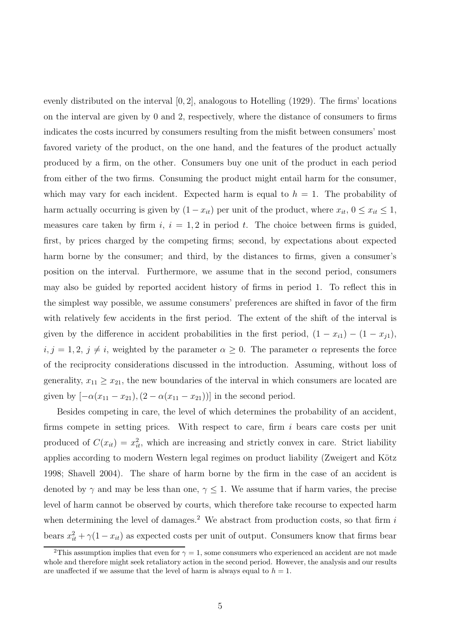evenly distributed on the interval  $[0, 2]$ , analogous to Hotelling (1929). The firms' locations on the interval are given by 0 and 2, respectively, where the distance of consumers to firms indicates the costs incurred by consumers resulting from the misfit between consumers' most favored variety of the product, on the one hand, and the features of the product actually produced by a firm, on the other. Consumers buy one unit of the product in each period from either of the two firms. Consuming the product might entail harm for the consumer, which may vary for each incident. Expected harm is equal to  $h = 1$ . The probability of harm actually occurring is given by  $(1 - x_{it})$  per unit of the product, where  $x_{it}$ ,  $0 \le x_{it} \le 1$ , measures care taken by firm  $i, i = 1, 2$  in period t. The choice between firms is guided, first, by prices charged by the competing firms; second, by expectations about expected harm borne by the consumer; and third, by the distances to firms, given a consumer's position on the interval. Furthermore, we assume that in the second period, consumers may also be guided by reported accident history of firms in period 1. To reflect this in the simplest way possible, we assume consumers' preferences are shifted in favor of the firm with relatively few accidents in the first period. The extent of the shift of the interval is given by the difference in accident probabilities in the first period,  $(1 - x_{i1}) - (1 - x_{j1})$ ,  $i, j = 1, 2, j \neq i$ , weighted by the parameter  $\alpha \geq 0$ . The parameter  $\alpha$  represents the force of the reciprocity considerations discussed in the introduction. Assuming, without loss of generality,  $x_{11} \ge x_{21}$ , the new boundaries of the interval in which consumers are located are given by  $[-\alpha(x_{11}-x_{21}), (2-\alpha(x_{11}-x_{21}))]$  in the second period.

Besides competing in care, the level of which determines the probability of an accident, firms compete in setting prices. With respect to care, firm  $i$  bears care costs per unit produced of  $C(x_{it}) = x_{it}^2$ , which are increasing and strictly convex in care. Strict liability applies according to modern Western legal regimes on product liability (Zweigert and Kötz 1998; Shavell 2004). The share of harm borne by the firm in the case of an accident is denoted by  $\gamma$  and may be less than one,  $\gamma \leq 1$ . We assume that if harm varies, the precise level of harm cannot be observed by courts, which therefore take recourse to expected harm when determining the level of damages.<sup>2</sup> We abstract from production costs, so that firm  $i$ bears  $x_{it}^2 + \gamma (1 - x_{it})$  as expected costs per unit of output. Consumers know that firms bear

<sup>&</sup>lt;sup>2</sup>This assumption implies that even for  $\gamma = 1$ , some consumers who experienced an accident are not made whole and therefore might seek retaliatory action in the second period. However, the analysis and our results are unaffected if we assume that the level of harm is always equal to  $h = 1$ .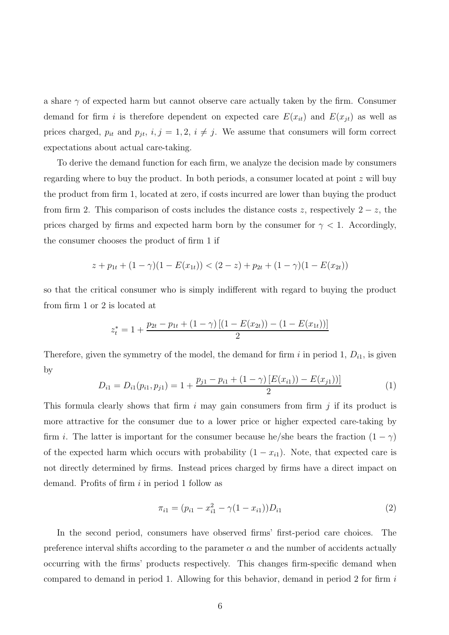a share  $\gamma$  of expected harm but cannot observe care actually taken by the firm. Consumer demand for firm i is therefore dependent on expected care  $E(x_{it})$  and  $E(x_{jt})$  as well as prices charged,  $p_{it}$  and  $p_{jt}$ ,  $i, j = 1, 2, i \neq j$ . We assume that consumers will form correct expectations about actual care-taking.

To derive the demand function for each firm, we analyze the decision made by consumers regarding where to buy the product. In both periods, a consumer located at point z will buy the product from firm 1, located at zero, if costs incurred are lower than buying the product from firm 2. This comparison of costs includes the distance costs z, respectively  $2 - z$ , the prices charged by firms and expected harm born by the consumer for  $\gamma < 1$ . Accordingly, the consumer chooses the product of firm 1 if

$$
z + p_{1t} + (1 - \gamma)(1 - E(x_{1t})) < (2 - z) + p_{2t} + (1 - \gamma)(1 - E(x_{2t}))
$$

so that the critical consumer who is simply indifferent with regard to buying the product from firm 1 or 2 is located at

$$
z_t^* = 1 + \frac{p_{2t} - p_{1t} + (1 - \gamma) [(1 - E(x_{2t})) - (1 - E(x_{1t}))]}{2}
$$

Therefore, given the symmetry of the model, the demand for firm i in period 1,  $D_{i1}$ , is given by

$$
D_{i1} = D_{i1}(p_{i1}, p_{j1}) = 1 + \frac{p_{j1} - p_{i1} + (1 - \gamma) [E(x_{i1})) - E(x_{j1})]}{2}
$$
(1)

This formula clearly shows that firm  $i$  may gain consumers from firm  $j$  if its product is more attractive for the consumer due to a lower price or higher expected care-taking by firm *i*. The latter is important for the consumer because he/she bears the fraction  $(1 - \gamma)$ of the expected harm which occurs with probability  $(1 - x_{i1})$ . Note, that expected care is not directly determined by firms. Instead prices charged by firms have a direct impact on demand. Profits of firm  $i$  in period 1 follow as

$$
\pi_{i1} = (p_{i1} - x_{i1}^2 - \gamma(1 - x_{i1}))D_{i1} \tag{2}
$$

In the second period, consumers have observed firms' first-period care choices. The preference interval shifts according to the parameter  $\alpha$  and the number of accidents actually occurring with the firms' products respectively. This changes firm-specific demand when compared to demand in period 1. Allowing for this behavior, demand in period 2 for firm i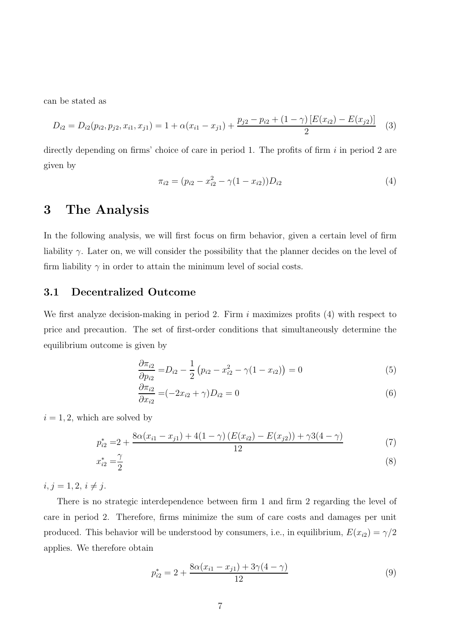can be stated as

$$
D_{i2} = D_{i2}(p_{i2}, p_{j2}, x_{i1}, x_{j1}) = 1 + \alpha(x_{i1} - x_{j1}) + \frac{p_{j2} - p_{i2} + (1 - \gamma) [E(x_{i2}) - E(x_{j2})]}{2}
$$
(3)

directly depending on firms' choice of care in period 1. The profits of firm  $i$  in period 2 are given by

$$
\pi_{i2} = (p_{i2} - x_{i2}^2 - \gamma(1 - x_{i2}))D_{i2} \tag{4}
$$

## 3 The Analysis

In the following analysis, we will first focus on firm behavior, given a certain level of firm liability  $\gamma$ . Later on, we will consider the possibility that the planner decides on the level of firm liability  $\gamma$  in order to attain the minimum level of social costs.

#### 3.1 Decentralized Outcome

We first analyze decision-making in period 2. Firm  $i$  maximizes profits  $(4)$  with respect to price and precaution. The set of first-order conditions that simultaneously determine the equilibrium outcome is given by

$$
\frac{\partial \pi_{i2}}{\partial p_{i2}} = D_{i2} - \frac{1}{2} \left( p_{i2} - x_{i2}^2 - \gamma (1 - x_{i2}) \right) = 0 \tag{5}
$$

$$
\frac{\partial \pi_{i2}}{\partial x_{i2}} = (-2x_{i2} + \gamma)D_{i2} = 0 \tag{6}
$$

 $i = 1, 2$ , which are solved by

$$
p_{i2}^* = 2 + \frac{8\alpha(x_{i1} - x_{j1}) + 4(1 - \gamma)(E(x_{i2}) - E(x_{j2})) + \gamma 3(4 - \gamma)}{12}
$$
(7)

$$
x_{i2}^* = \frac{\gamma}{2} \tag{8}
$$

 $i, j = 1, 2, i \neq j.$ 

There is no strategic interdependence between firm 1 and firm 2 regarding the level of care in period 2. Therefore, firms minimize the sum of care costs and damages per unit produced. This behavior will be understood by consumers, i.e., in equilibrium,  $E(x_{i2}) = \gamma/2$ applies. We therefore obtain

$$
p_{i2}^* = 2 + \frac{8\alpha(x_{i1} - x_{j1}) + 3\gamma(4 - \gamma)}{12} \tag{9}
$$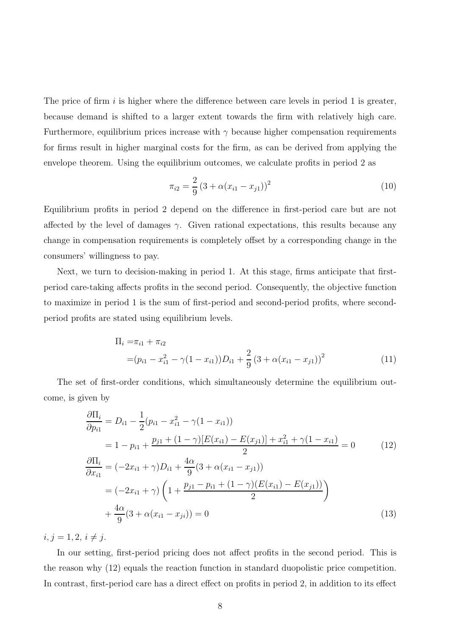The price of firm i is higher where the difference between care levels in period 1 is greater, because demand is shifted to a larger extent towards the firm with relatively high care. Furthermore, equilibrium prices increase with  $\gamma$  because higher compensation requirements for firms result in higher marginal costs for the firm, as can be derived from applying the envelope theorem. Using the equilibrium outcomes, we calculate profits in period 2 as

$$
\pi_{i2} = \frac{2}{9} (3 + \alpha (x_{i1} - x_{j1}))^2
$$
\n(10)

Equilibrium profits in period 2 depend on the difference in first-period care but are not affected by the level of damages  $\gamma$ . Given rational expectations, this results because any change in compensation requirements is completely offset by a corresponding change in the consumers' willingness to pay.

Next, we turn to decision-making in period 1. At this stage, firms anticipate that firstperiod care-taking affects profits in the second period. Consequently, the objective function to maximize in period 1 is the sum of first-period and second-period profits, where secondperiod profits are stated using equilibrium levels.

$$
\Pi_{i} = \pi_{i1} + \pi_{i2}
$$
\n
$$
= (p_{i1} - x_{i1}^{2} - \gamma(1 - x_{i1}))D_{i1} + \frac{2}{9}(3 + \alpha(x_{i1} - x_{j1}))^{2}
$$
\n(11)

The set of first-order conditions, which simultaneously determine the equilibrium outcome, is given by

$$
\frac{\partial \Pi_i}{\partial p_{i1}} = D_{i1} - \frac{1}{2}(p_{i1} - x_{i1}^2 - \gamma(1 - x_{i1}))
$$
\n
$$
= 1 - p_{i1} + \frac{p_{j1} + (1 - \gamma)[E(x_{i1}) - E(x_{j1})] + x_{i1}^2 + \gamma(1 - x_{i1})}{2} = 0 \qquad (12)
$$
\n
$$
\frac{\partial \Pi_i}{\partial x_{i1}} = (-2x_{i1} + \gamma)D_{i1} + \frac{4\alpha}{9}(3 + \alpha(x_{i1} - x_{j1}))
$$
\n
$$
= (-2x_{i1} + \gamma) \left(1 + \frac{p_{j1} - p_{i1} + (1 - \gamma)(E(x_{i1}) - E(x_{j1}))}{2}\right)
$$
\n
$$
+ \frac{4\alpha}{9}(3 + \alpha(x_{i1} - x_{j1})) = 0 \qquad (13)
$$

 $i, j = 1, 2, i \neq j.$ 

In our setting, first-period pricing does not affect profits in the second period. This is the reason why (12) equals the reaction function in standard duopolistic price competition. In contrast, first-period care has a direct effect on profits in period 2, in addition to its effect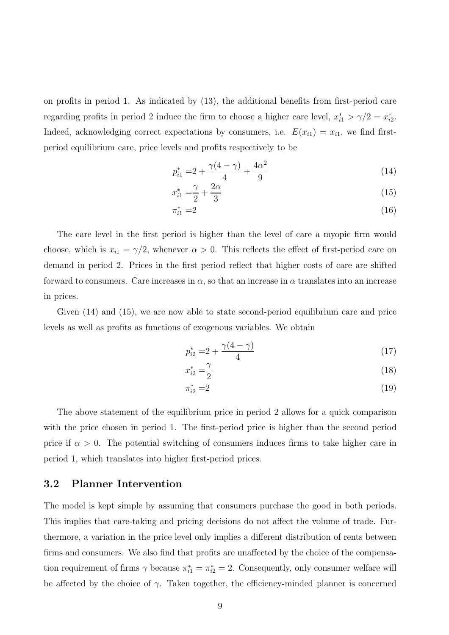on profits in period 1. As indicated by (13), the additional benefits from first-period care regarding profits in period 2 induce the firm to choose a higher care level,  $x_{i1}^* > \gamma/2 = x_{i2}^*$  $_{i2}^{\ast}$ . Indeed, acknowledging correct expectations by consumers, i.e.  $E(x_{i1}) = x_{i1}$ , we find firstperiod equilibrium care, price levels and profits respectively to be

$$
p_{i1}^* = 2 + \frac{\gamma(4-\gamma)}{4} + \frac{4\alpha^2}{9} \tag{14}
$$

$$
x_{i1}^* = \frac{\gamma}{2} + \frac{2\alpha}{3} \tag{15}
$$

$$
\pi_{i1}^* = 2\tag{16}
$$

The care level in the first period is higher than the level of care a myopic firm would choose, which is  $x_{i1} = \gamma/2$ , whenever  $\alpha > 0$ . This reflects the effect of first-period care on demand in period 2. Prices in the first period reflect that higher costs of care are shifted forward to consumers. Care increases in  $\alpha$ , so that an increase in  $\alpha$  translates into an increase in prices.

Given (14) and (15), we are now able to state second-period equilibrium care and price levels as well as profits as functions of exogenous variables. We obtain

$$
p_{i2}^* = 2 + \frac{\gamma(4-\gamma)}{4} \tag{17}
$$

$$
x_{i2}^* = \frac{\gamma}{2} \tag{18}
$$

$$
\pi_{i2}^* = 2 \tag{19}
$$

The above statement of the equilibrium price in period 2 allows for a quick comparison with the price chosen in period 1. The first-period price is higher than the second period price if  $\alpha > 0$ . The potential switching of consumers induces firms to take higher care in period 1, which translates into higher first-period prices.

#### 3.2 Planner Intervention

The model is kept simple by assuming that consumers purchase the good in both periods. This implies that care-taking and pricing decisions do not affect the volume of trade. Furthermore, a variation in the price level only implies a different distribution of rents between firms and consumers. We also find that profits are unaffected by the choice of the compensation requirement of firms  $\gamma$  because  $\pi_{i1}^* = \pi_{i2}^* = 2$ . Consequently, only consumer welfare will be affected by the choice of  $\gamma$ . Taken together, the efficiency-minded planner is concerned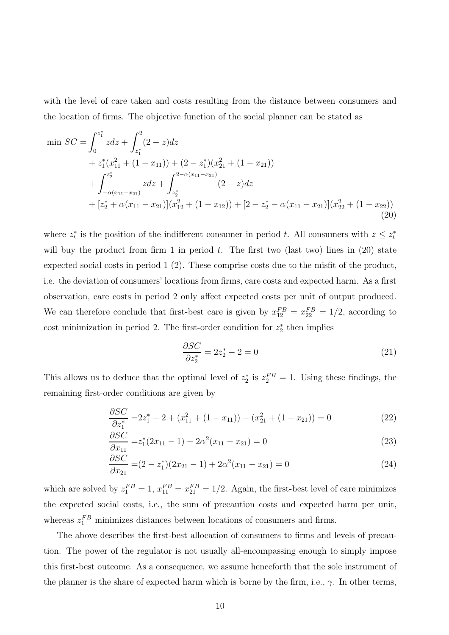with the level of care taken and costs resulting from the distance between consumers and the location of firms. The objective function of the social planner can be stated as

$$
\min SC = \int_0^{z_1^*} z \, dz + \int_{z_1^*}^2 (2 - z) \, dz
$$
\n
$$
+ z_1^*(x_{11}^2 + (1 - x_{11})) + (2 - z_1^*)(x_{21}^2 + (1 - x_{21}))
$$
\n
$$
+ \int_{-\alpha(x_{11} - x_{21})}^{z_2^*} z \, dz + \int_{z_2^*}^{2 - \alpha(x_{11} - x_{21})} (2 - z) \, dz
$$
\n
$$
+ [z_2^* + \alpha(x_{11} - x_{21})](x_{12}^2 + (1 - x_{12})) + [2 - z_2^* - \alpha(x_{11} - x_{21})](x_{22}^2 + (1 - x_{22}))
$$
\n(20)

where  $z_t^*$ <sup>\*</sup> is the position of the indifferent consumer in period t. All consumers with  $z \leq z_t^*$ t will buy the product from firm 1 in period  $t$ . The first two (last two) lines in  $(20)$  state expected social costs in period 1 (2). These comprise costs due to the misfit of the product, i.e. the deviation of consumers' locations from firms, care costs and expected harm. As a first observation, care costs in period 2 only affect expected costs per unit of output produced. We can therefore conclude that first-best care is given by  $x_{12}^{FB} = x_{22}^{FB} = 1/2$ , according to cost minimization in period 2. The first-order condition for  $z_2^*$  $_2^*$  then implies

$$
\frac{\partial SC}{\partial z_2^*} = 2z_2^* - 2 = 0\tag{21}
$$

This allows us to deduce that the optimal level of  $z_2^*$  $z_2^*$  is  $z_2^{FB} = 1$ . Using these findings, the remaining first-order conditions are given by

$$
\frac{\partial SC}{\partial z_1^*} = 2z_1^* - 2 + (x_{11}^2 + (1 - x_{11})) - (x_{21}^2 + (1 - x_{21})) = 0 \tag{22}
$$

$$
\frac{\partial SC}{\partial x_{11}} = z_1^*(2x_{11} - 1) - 2\alpha^2(x_{11} - x_{21}) = 0
$$
\n(23)

$$
\frac{\partial SC}{\partial x_{21}} = (2 - z_1^*)(2x_{21} - 1) + 2\alpha^2(x_{11} - x_{21}) = 0 \tag{24}
$$

which are solved by  $z_1^{FB} = 1$ ,  $x_{11}^{FB} = x_{21}^{FB} = 1/2$ . Again, the first-best level of care minimizes the expected social costs, i.e., the sum of precaution costs and expected harm per unit, whereas  $z_1^{FB}$  minimizes distances between locations of consumers and firms.

The above describes the first-best allocation of consumers to firms and levels of precaution. The power of the regulator is not usually all-encompassing enough to simply impose this first-best outcome. As a consequence, we assume henceforth that the sole instrument of the planner is the share of expected harm which is borne by the firm, i.e.,  $\gamma$ . In other terms,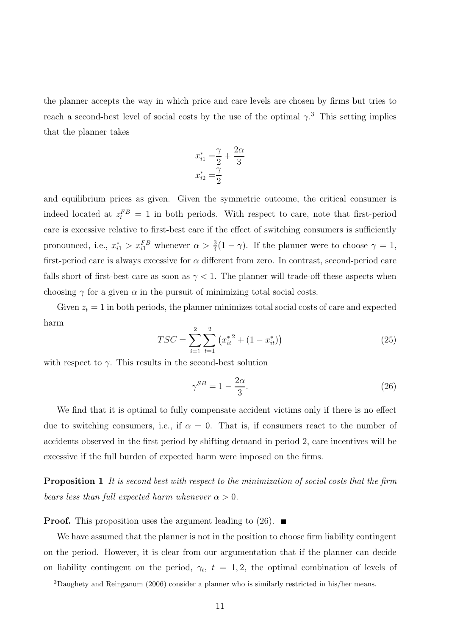the planner accepts the way in which price and care levels are chosen by firms but tries to reach a second-best level of social costs by the use of the optimal  $\gamma$ <sup>3</sup>. This setting implies that the planner takes

$$
x_{i1}^* = \frac{\gamma}{2} + \frac{2\alpha}{3}
$$

$$
x_{i2}^* = \frac{\gamma}{2}
$$

and equilibrium prices as given. Given the symmetric outcome, the critical consumer is indeed located at  $z_t^{FB} = 1$  in both periods. With respect to care, note that first-period care is excessive relative to first-best care if the effect of switching consumers is sufficiently pronounced, i.e.,  $x_{i1}^* > x_{i1}^{FB}$  whenever  $\alpha > \frac{3}{4}(1 - \gamma)$ . If the planner were to choose  $\gamma = 1$ , first-period care is always excessive for  $\alpha$  different from zero. In contrast, second-period care falls short of first-best care as soon as  $\gamma < 1$ . The planner will trade-off these aspects when choosing  $\gamma$  for a given  $\alpha$  in the pursuit of minimizing total social costs.

Given  $z_t = 1$  in both periods, the planner minimizes total social costs of care and expected harm

$$
TSC = \sum_{i=1}^{2} \sum_{t=1}^{2} (x_{it}^{*2} + (1 - x_{it}^{*}))
$$
\n(25)

with respect to  $\gamma$ . This results in the second-best solution

$$
\gamma^{SB} = 1 - \frac{2\alpha}{3}.\tag{26}
$$

We find that it is optimal to fully compensate accident victims only if there is no effect due to switching consumers, i.e., if  $\alpha = 0$ . That is, if consumers react to the number of accidents observed in the first period by shifting demand in period 2, care incentives will be excessive if the full burden of expected harm were imposed on the firms.

Proposition 1 It is second best with respect to the minimization of social costs that the firm bears less than full expected harm whenever  $\alpha > 0$ .

**Proof.** This proposition uses the argument leading to  $(26)$ .

We have assumed that the planner is not in the position to choose firm liability contingent on the period. However, it is clear from our argumentation that if the planner can decide on liability contingent on the period,  $\gamma_t$ ,  $t = 1, 2$ , the optimal combination of levels of

<sup>3</sup>Daughety and Reinganum (2006) consider a planner who is similarly restricted in his/her means.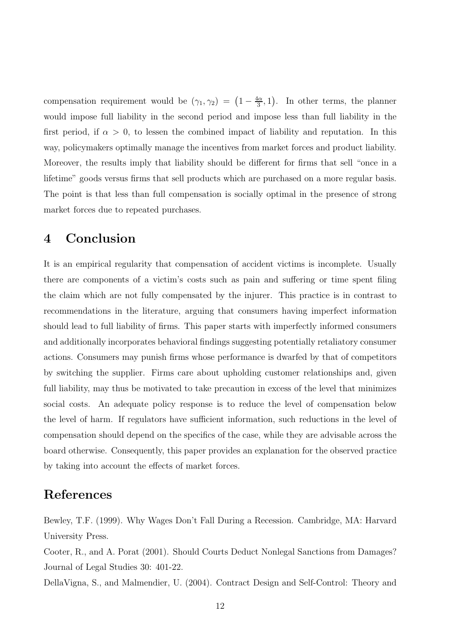compensation requirement would be  $(\gamma_1, \gamma_2) = \left(1 - \frac{4\alpha}{3}\right)$  $\frac{d\alpha}{3}$ , 1). In other terms, the planner would impose full liability in the second period and impose less than full liability in the first period, if  $\alpha > 0$ , to lessen the combined impact of liability and reputation. In this way, policymakers optimally manage the incentives from market forces and product liability. Moreover, the results imply that liability should be different for firms that sell "once in a lifetime" goods versus firms that sell products which are purchased on a more regular basis. The point is that less than full compensation is socially optimal in the presence of strong market forces due to repeated purchases.

## 4 Conclusion

It is an empirical regularity that compensation of accident victims is incomplete. Usually there are components of a victim's costs such as pain and suffering or time spent filing the claim which are not fully compensated by the injurer. This practice is in contrast to recommendations in the literature, arguing that consumers having imperfect information should lead to full liability of firms. This paper starts with imperfectly informed consumers and additionally incorporates behavioral findings suggesting potentially retaliatory consumer actions. Consumers may punish firms whose performance is dwarfed by that of competitors by switching the supplier. Firms care about upholding customer relationships and, given full liability, may thus be motivated to take precaution in excess of the level that minimizes social costs. An adequate policy response is to reduce the level of compensation below the level of harm. If regulators have sufficient information, such reductions in the level of compensation should depend on the specifics of the case, while they are advisable across the board otherwise. Consequently, this paper provides an explanation for the observed practice by taking into account the effects of market forces.

## References

Bewley, T.F. (1999). Why Wages Don't Fall During a Recession. Cambridge, MA: Harvard University Press.

Cooter, R., and A. Porat (2001). Should Courts Deduct Nonlegal Sanctions from Damages? Journal of Legal Studies 30: 401-22.

DellaVigna, S., and Malmendier, U. (2004). Contract Design and Self-Control: Theory and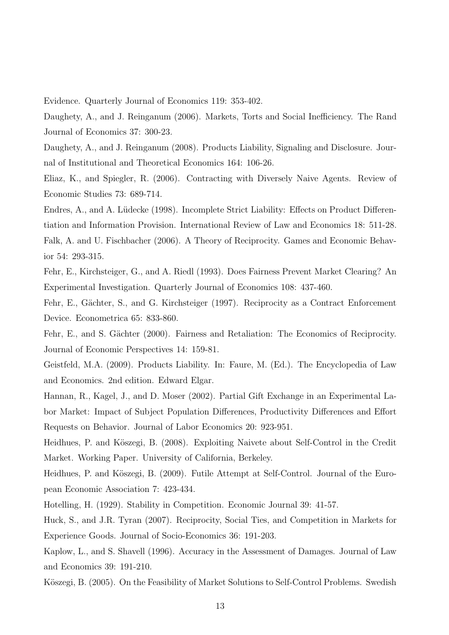Evidence. Quarterly Journal of Economics 119: 353-402.

Daughety, A., and J. Reinganum (2006). Markets, Torts and Social Inefficiency. The Rand Journal of Economics 37: 300-23.

Daughety, A., and J. Reinganum (2008). Products Liability, Signaling and Disclosure. Journal of Institutional and Theoretical Economics 164: 106-26.

Eliaz, K., and Spiegler, R. (2006). Contracting with Diversely Naive Agents. Review of Economic Studies 73: 689-714.

Endres, A., and A. Lüdecke (1998). Incomplete Strict Liability: Effects on Product Differentiation and Information Provision. International Review of Law and Economics 18: 511-28. Falk, A. and U. Fischbacher (2006). A Theory of Reciprocity. Games and Economic Behavior 54: 293-315.

Fehr, E., Kirchsteiger, G., and A. Riedl (1993). Does Fairness Prevent Market Clearing? An Experimental Investigation. Quarterly Journal of Economics 108: 437-460.

Fehr, E., Gächter, S., and G. Kirchsteiger (1997). Reciprocity as a Contract Enforcement Device. Econometrica 65: 833-860.

Fehr, E., and S. Gächter (2000). Fairness and Retaliation: The Economics of Reciprocity. Journal of Economic Perspectives 14: 159-81.

Geistfeld, M.A. (2009). Products Liability. In: Faure, M. (Ed.). The Encyclopedia of Law and Economics. 2nd edition. Edward Elgar.

Hannan, R., Kagel, J., and D. Moser (2002). Partial Gift Exchange in an Experimental Labor Market: Impact of Subject Population Differences, Productivity Differences and Effort Requests on Behavior. Journal of Labor Economics 20: 923-951.

Heidhues, P. and Köszegi, B. (2008). Exploiting Naivete about Self-Control in the Credit Market. Working Paper. University of California, Berkeley.

Heidhues, P. and Köszegi, B. (2009). Futile Attempt at Self-Control. Journal of the European Economic Association 7: 423-434.

Hotelling, H. (1929). Stability in Competition. Economic Journal 39: 41-57.

Huck, S., and J.R. Tyran (2007). Reciprocity, Social Ties, and Competition in Markets for Experience Goods. Journal of Socio-Economics 36: 191-203.

Kaplow, L., and S. Shavell (1996). Accuracy in the Assessment of Damages. Journal of Law and Economics 39: 191-210.

Köszegi, B. (2005). On the Feasibility of Market Solutions to Self-Control Problems. Swedish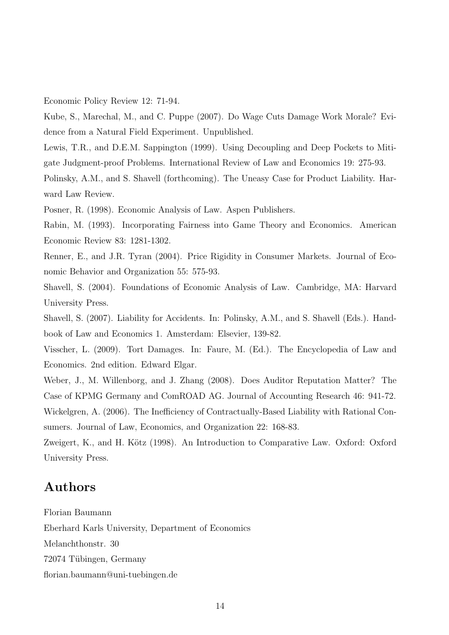Economic Policy Review 12: 71-94.

Kube, S., Marechal, M., and C. Puppe (2007). Do Wage Cuts Damage Work Morale? Evidence from a Natural Field Experiment. Unpublished.

Lewis, T.R., and D.E.M. Sappington (1999). Using Decoupling and Deep Pockets to Mitigate Judgment-proof Problems. International Review of Law and Economics 19: 275-93.

Polinsky, A.M., and S. Shavell (forthcoming). The Uneasy Case for Product Liability. Harward Law Review.

Posner, R. (1998). Economic Analysis of Law. Aspen Publishers.

Rabin, M. (1993). Incorporating Fairness into Game Theory and Economics. American Economic Review 83: 1281-1302.

Renner, E., and J.R. Tyran (2004). Price Rigidity in Consumer Markets. Journal of Economic Behavior and Organization 55: 575-93.

Shavell, S. (2004). Foundations of Economic Analysis of Law. Cambridge, MA: Harvard University Press.

Shavell, S. (2007). Liability for Accidents. In: Polinsky, A.M., and S. Shavell (Eds.). Handbook of Law and Economics 1. Amsterdam: Elsevier, 139-82.

Visscher, L. (2009). Tort Damages. In: Faure, M. (Ed.). The Encyclopedia of Law and Economics. 2nd edition. Edward Elgar.

Weber, J., M. Willenborg, and J. Zhang (2008). Does Auditor Reputation Matter? The Case of KPMG Germany and ComROAD AG. Journal of Accounting Research 46: 941-72. Wickelgren, A. (2006). The Inefficiency of Contractually-Based Liability with Rational Consumers. Journal of Law, Economics, and Organization 22: 168-83.

Zweigert, K., and H. Kötz (1998). An Introduction to Comparative Law. Oxford: Oxford University Press.

## Authors

Florian Baumann Eberhard Karls University, Department of Economics Melanchthonstr. 30 72074 Tübingen, Germany florian.baumann@uni-tuebingen.de